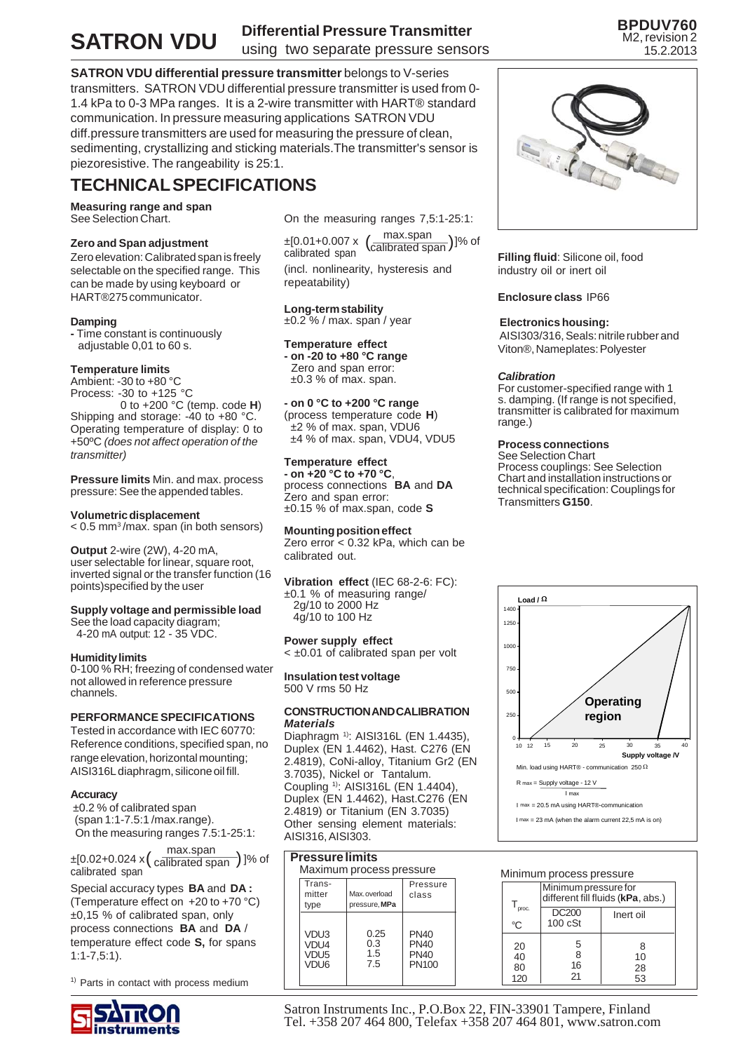# **SATRON VDU**

# **Differential Pressure Transmitter** using two separate pressure sensors

**BPDUV760** M2, revision 2 15.2.2013

**SATRON VDU differential pressure transmitter** belongs to V-series transmitters. SATRON VDU differential pressure transmitter is used from 0- 1.4 kPa to 0-3 MPa ranges. It is a 2-wire transmitter with HART® standard communication. In pressure measuring applications SATRON VDU diff.pressure transmitters are used for measuring the pressure of clean, sedimenting, crystallizing and sticking materials.The transmitter's sensor is piezoresistive. The rangeability is 25:1.

# **TECHNICAL SPECIFICATIONS**

**Measuring range and span** See Selection Chart.

# **Zero and Span adjustment**

Zero elevation: Calibrated span is freely selectable on the specified range. This can be made by using keyboard or HART®275 communicator.

# **Damping**

**-** Time constant is continuously adjustable 0,01 to 60 s.

# **Temperature limits**

Ambient: -30 to +80 °C Process: -30 to +125 °C

 0 to +200 °C (temp. code **H**) Shipping and storage: -40 to +80 °C. Operating temperature of display: 0 to +50ºC *(does not affect operation of the transmitter)*

**Pressure limits** Min. and max. process pressure: See the appended tables.

# **Volumetric displacement**

< 0.5 mm3 /max. span (in both sensors)

# **Output** 2-wire (2W), 4-20 mA,

user selectable for linear, square root, inverted signal or the transfer function (16 points)specified by the user

# **Supply voltage and permissible load**

See the load capacity diagram; 4-20 mA output: 12 - 35 VDC.

# **Humidity limits**

0-100 % RH; freezing of condensed water not allowed in reference pressure channels.

# **PERFORMANCE SPECIFICATIONS**

Tested in accordance with IEC 60770: Reference conditions, specified span, no range elevation, horizontal mounting; AISI316L diaphragm, silicone oil fill.

# **Accuracy**

 ±0.2 % of calibrated span (span 1:1-7.5:1 /max.range). On the measuring ranges 7.5:1-25:1:

 $\pm$ [0.02+0.024 x  $\left(\frac{\text{max-span}}{\text{calibrated span}}\right)$  ]% of

Special accuracy types **BA** and **DA :** (Temperature effect on +20 to +70 °C) ±0,15 % of calibrated span, only process connections **BA** and **DA** / temperature effect code **S,** for spans 1:1-7,5:1).

<sup>1)</sup> Parts in contact with process medium



On the measuring ranges 7,5:1-25:1:

(incl. nonlinearity, hysteresis and repeatability) ±[0.01+0.007 x  $\left(\frac{\text{max-span}}{\text{calibrated span}}\right)$ ]% of max.span

**Long-term stability** ±0.2 % / max. span / year

# **Temperature effect**

**- on -20 to +80 °C range** Zero and span error:  $\pm 0.3$  % of max. span.

# **- on 0 °C to +200 °C range**

(process temperature code **H**) ±2 % of max. span, VDU6 ±4 % of max. span, VDU4, VDU5

#### **Temperature effect - on +20 °C to +70 °C**,

process connections **BA** and **DA** Zero and span error: ±0.15 % of max.span, code **S**

# **Mounting position effect**

Zero error < 0.32 kPa, which can be calibrated out.

**Vibration effect** (IEC 68-2-6: FC): ±0.1 % of measuring range/ 2g/10 to 2000 Hz 4g/10 to 100 Hz

# **Power supply effect**

< ±0.01 of calibrated span per volt

#### **Insulation test voltage** 500 V rms 50 Hz

#### **CONSTRUCTION AND CALIBRATION** *Materials*

Diaphragm 1): AISI316L (EN 1.4435), Duplex (EN 1.4462), Hast. C276 (EN 2.4819), CoNi-alloy, Titanium Gr2 (EN 3.7035), Nickel or Tantalum. Coupling <sup>1)</sup>: AISI316L (EN 1.4404) Duplex (EN 1.4462), Hast.C276 (EN 2.4819) or Titanium (EN 3.7035) Other sensing element materials: AISI316, AISI303.

# **Pressure limits**

| Maximum process pressure                                         |                           |                                                    |  |  |  |  |  |  |  |  |
|------------------------------------------------------------------|---------------------------|----------------------------------------------------|--|--|--|--|--|--|--|--|
| Trans-                                                           |                           | Pressure<br>class                                  |  |  |  |  |  |  |  |  |
| mitter                                                           | Max.overload              |                                                    |  |  |  |  |  |  |  |  |
| type                                                             | pressure. MPa             |                                                    |  |  |  |  |  |  |  |  |
| VDU <sub>3</sub><br>VDU4<br>VDU <sub>5</sub><br>VDU <sub>6</sub> | 0.25<br>0.3<br>1.5<br>7.5 | <b>PN40</b><br><b>PN40</b><br><b>PN40</b><br>PN100 |  |  |  |  |  |  |  |  |



**Filling fluid**: Silicone oil, food industry oil or inert oil

# **Enclosure class** IP66

# **Electronics housing:**

 AISI303/316, Seals: nitrile rubber and Viton®, Nameplates: Polyester

# *Calibration*

For customer-specified range with 1 s. damping. (If range is not specified, transmitter is calibrated for maximum range.)

# **Process connections**

See Selection Chart Process couplings: See Selection Chart and installation instructions or technical specification: Couplings for Transmitters **G150**.



# Minimum process pressure

|       | Minimum pressure for<br>different fill fluids (kPa, abs.) |           |  |  |  |  |  |  |  |
|-------|-----------------------------------------------------------|-----------|--|--|--|--|--|--|--|
| proc. | <b>DC200</b>                                              | Inert oil |  |  |  |  |  |  |  |
| °C    | $100 \cS$ t                                               |           |  |  |  |  |  |  |  |
| 20    | 5                                                         | 8         |  |  |  |  |  |  |  |
| 40    | 8                                                         | 10        |  |  |  |  |  |  |  |
| 80    | 16                                                        | 28        |  |  |  |  |  |  |  |
| 120   | 21                                                        | 53        |  |  |  |  |  |  |  |

Satron Instruments Inc., P.O.Box 22, FIN-33901 Tampere, Finland Tel. +358 207 464 800, Telefax +358 207 464 801, www.satron.com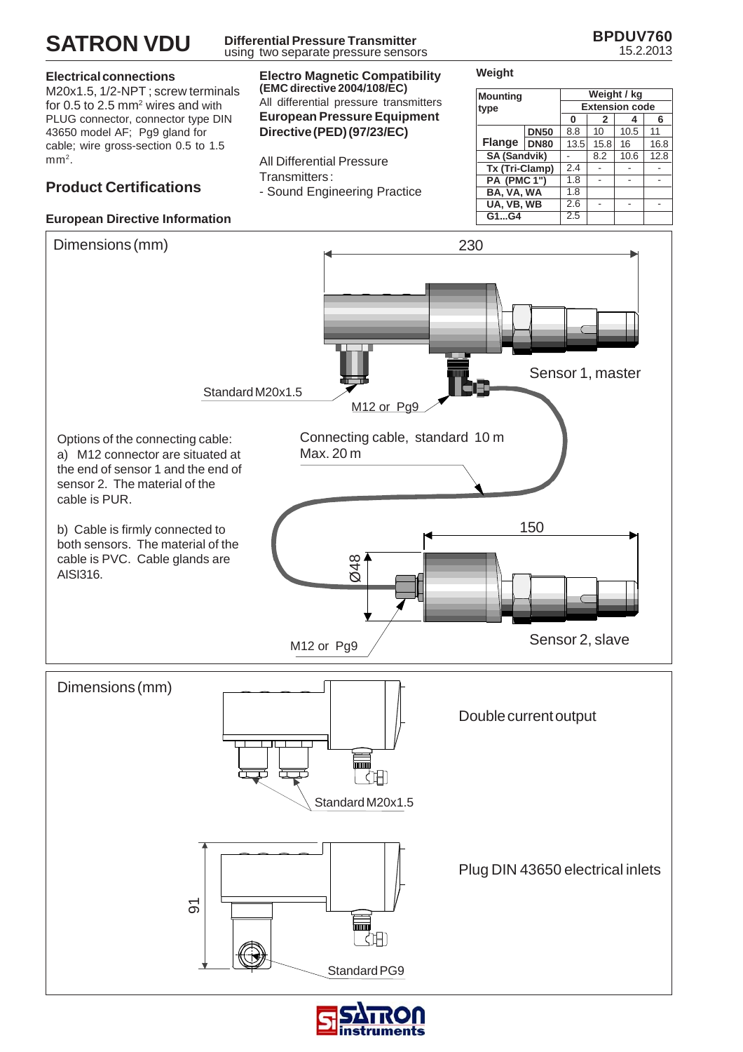

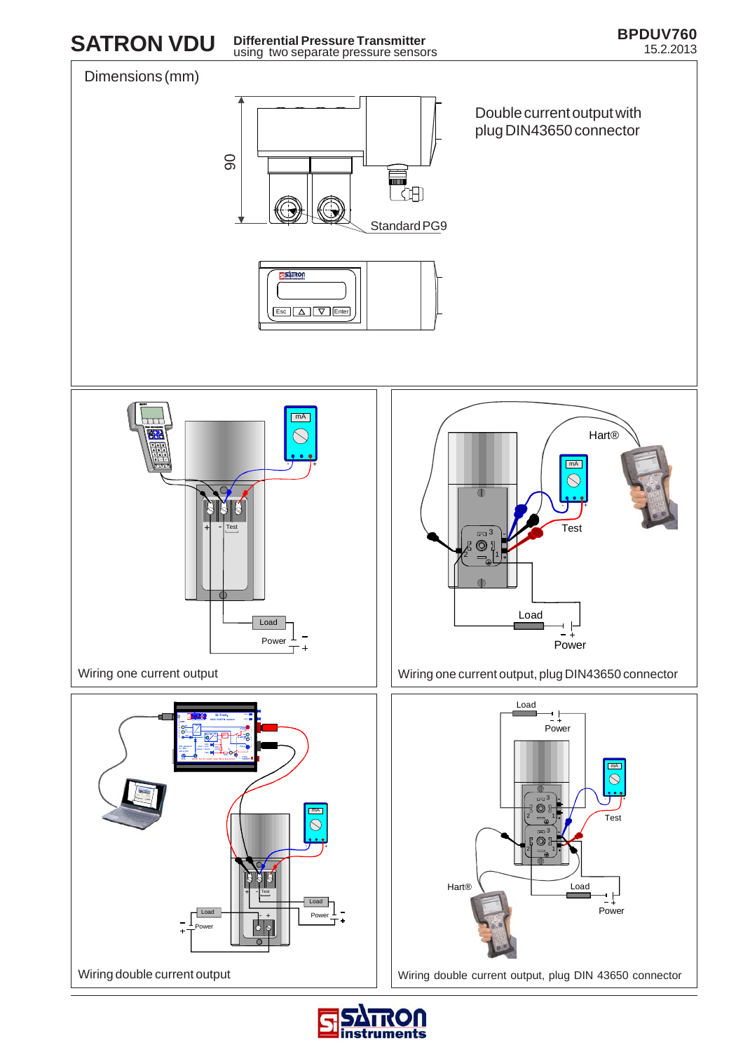

**SATRON VDU** Differential Pressure Transmitter<br>15.2.2013 15.2.2013 **Differential Pressure Transmitter** using two separate pressure sensors



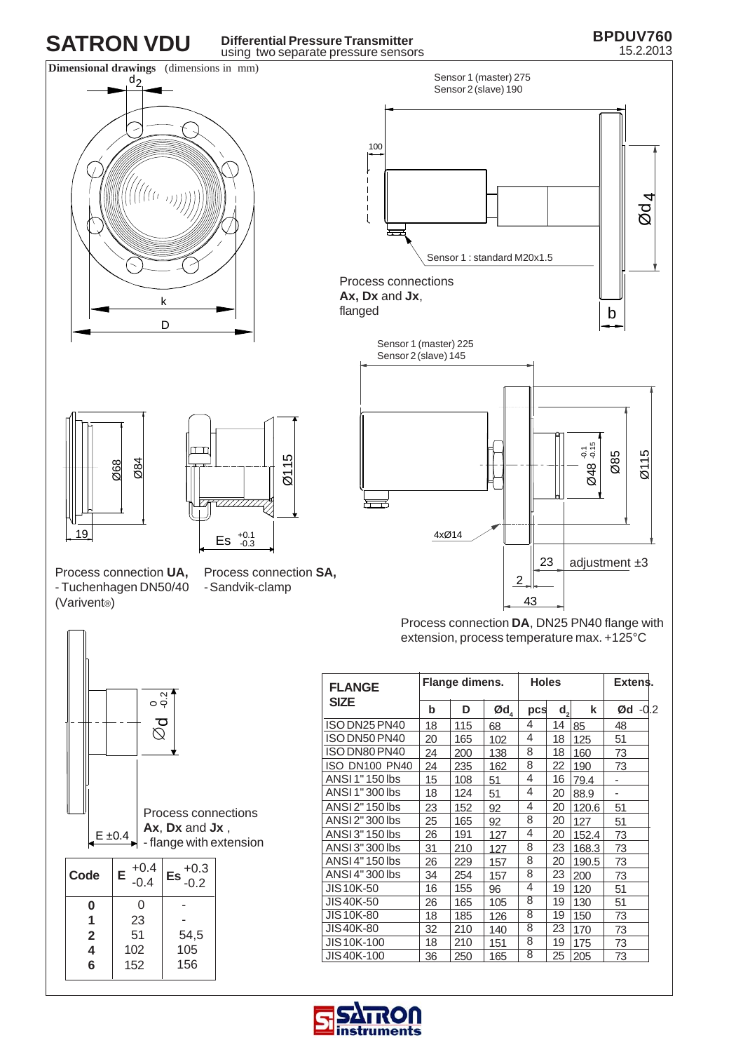# $d_2$ **SATRON VDU Differential Pressure Transmitter** using two separate pressure sensors

# **BPDUV760** 15.2.2013





Process connection **DA**, DN25 PN40 flange with extension, process temperature max. +125°C

| <b>FLANGE</b>     | Flange dimens. |     |                                 | <b>Holes</b> |    | Extens. |                          |
|-------------------|----------------|-----|---------------------------------|--------------|----|---------|--------------------------|
| <b>SIZE</b>       | b              | D   | $\boldsymbol{\text{Qd}}_{_{4}}$ | pcs          | d, | k       | $-0.2$<br>Ød             |
| ISO DN25 PN40     | 18             | 115 | 68                              | 4            | 14 | 85      | 48                       |
| ISO DN50 PN40     | 20             | 165 | 102                             | 4            | 18 | 125     | 51                       |
| ISO DN80 PN40     | 24             | 200 | 138                             | 8            | 18 | 160     | 73                       |
| ISO DN100 PN40    | 24             | 235 | 162                             | 8            | 22 | 190     | 73                       |
| ANSI 1" 150 lbs   | 15             | 108 | 51                              | 4            | 16 | 79.4    | $\overline{\phantom{0}}$ |
| ANSI 1" 300 lbs   | 18             | 124 | 51                              | 4            | 20 | 88.9    | -                        |
| ANSI 2" 150 lbs   | 23             | 152 | 92                              | 4            | 20 | 120.6   | 51                       |
| ANSI 2"300 lbs    | 25             | 165 | 92                              | 8            | 20 | 127     | 51                       |
| ANSI 3" 150 lbs   | 26             | 191 | 127                             | 4            | 20 | 152.4   | 73                       |
| ANSI 3" 300 lbs   | 31             | 210 | 127                             | 8            | 23 | 168.3   | 73                       |
| ANSI 4" 150 lbs   | 26             | 229 | 157                             | 8            | 20 | 190.5   | 73                       |
| ANSI 4"300 lbs    | 34             | 254 | 157                             | 8            | 23 | 200     | 73                       |
| JIS 10K-50        | 16             | 155 | 96                              | 4            | 19 | 120     | 51                       |
| JIS40K-50         | 26             | 165 | 105                             | 8            | 19 | 130     | 51                       |
| <b>JIS10K-80</b>  | 18             | 185 | 126                             | 8            | 19 | 150     | 73                       |
| JIS 40K-80        | 32             | 210 | 140                             | 8            | 23 | 170     | 73                       |
| JIS 10K-100       | 18             | 210 | 151                             | 8            | 19 | 175     | 73                       |
| <b>JIS40K-100</b> | 36             | 250 | 165                             | 8            | 25 | 205     | 73                       |



Ø84

Ø68

Process connection **SA,** - Sandvik-clamp

Ø115

Es  $^{+0.1}_{-0.3}$ 

<del>ख्यापा</del>परी



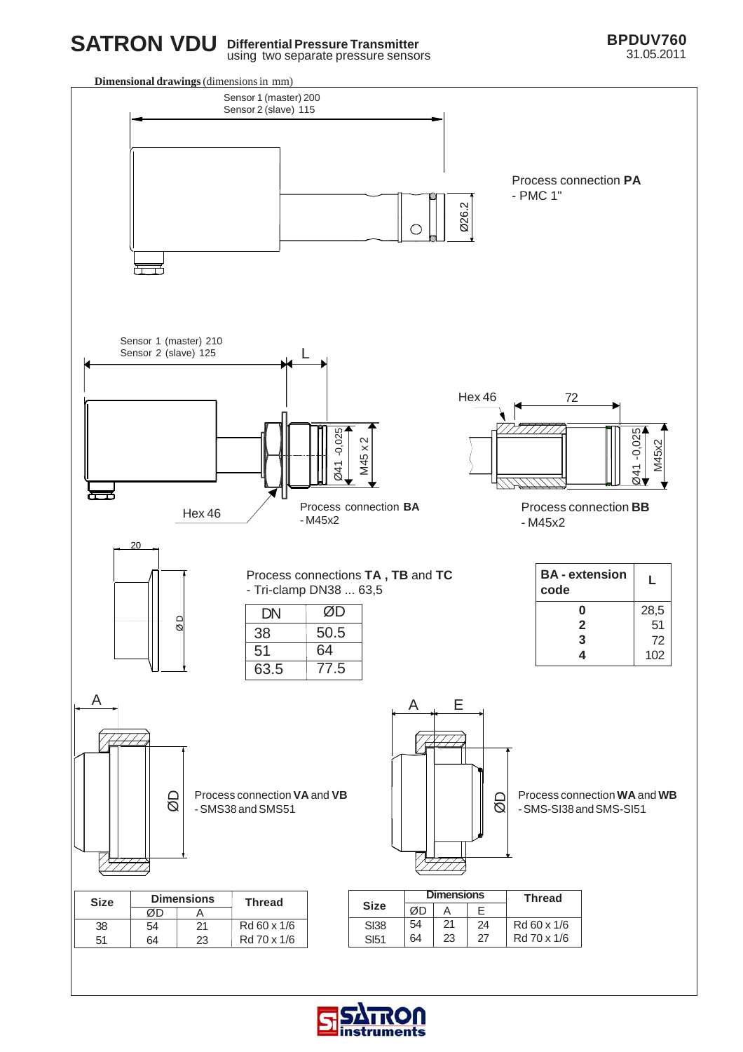

using two separate pressure sensors





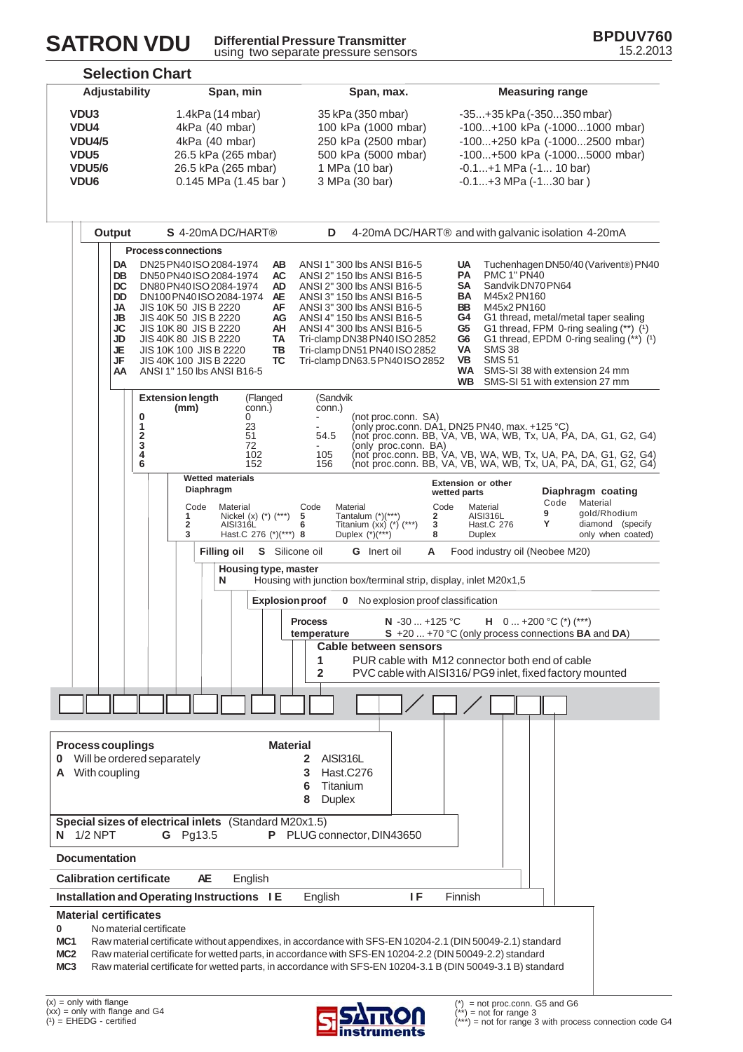

**Differential Pressure Transmitter** using two separate pressure sensors



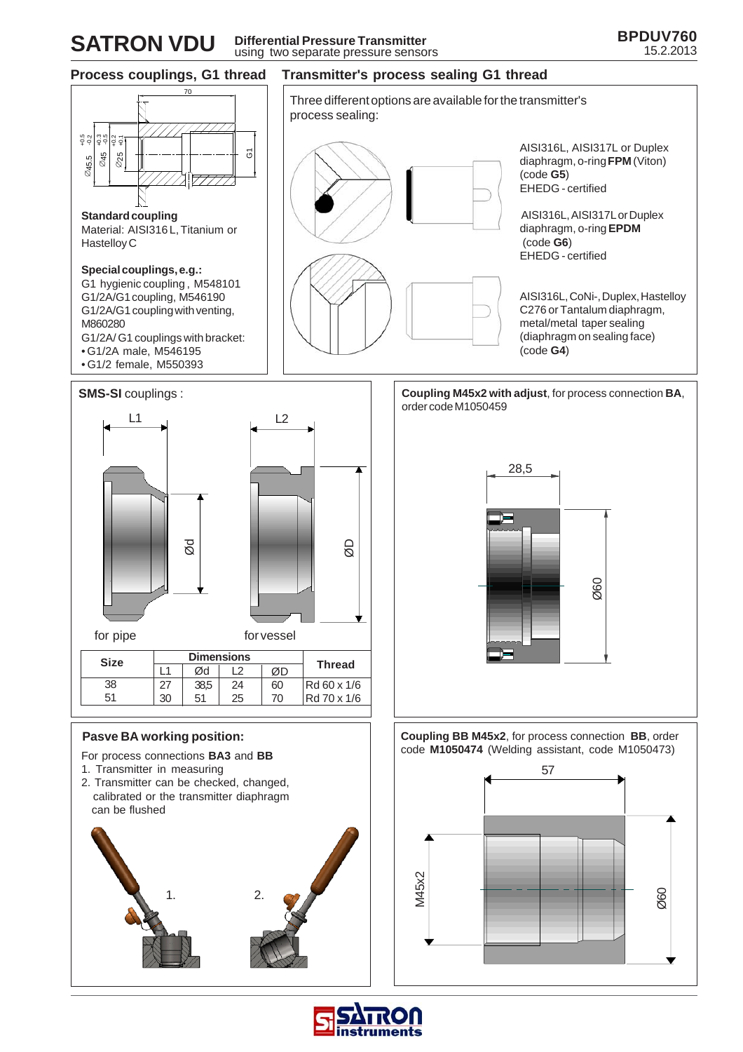# **SATRON VDU** Differential Pressure Transmitter<br>15.2.2013 using two separate pressure sensors